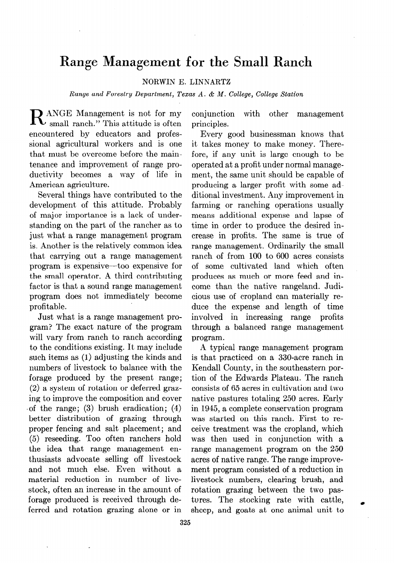## **Range Management for the Small Ranch**

## **NORWIN E. LINNARTZ**

*Range and Forestry Department, Texas A. & AI. College, College Station* 

**R** ANGE Management is not for my<br>small ranch." This attitude is often encountered by educators and professional agricultural workers and is one that must be overcome before the maintenance and improvement of range productivity becomes a way of life in American agriculture.

Several things have contributed to the development of this attitude. Probably of major importance is a lack of understanding on the part of the rancher as to just what a range management program is. Another is the relatively common idea that carrying out a range management program is expensive-too expensive for the small operator. A third contributing factor is that a sound range management program does not immediately become profitable.

Just what is a range management program? The exact nature of the program will vary from ranch to ranch according to the conditions existing. It may include such items as (1) adjusting the kinds and numbers of livestock to balance with the forage produced by the present range; (2) a system of rotation or deferred grazing to improve the composition and cover 'of the range; (3) brush eradication; (4) better distribution of grazing through proper fencing and salt placement; and (5) reseeding. Too often ranchers hold the idea that range management enthusiasts advocate selling off livestock and not much else. Even without a material reduction in number of livestock, often an increase in the amount of forage produced is received through deferred and rotation grazing alone or in

conjunction with other management principles.

Every good businessman knows that it takes money to make money. Therefore, if any unit is large enough to be operated at a profit under normal management, the same unit should be capable of producing a larger profit with some additional investment. Any improvement in farming or ranching operations usually means additional expense and lapse of time in order to produce the desired increase in profits. The same is true of range management. Ordinarily the small ranch of from 100 to 600 acres consists of some cultivated land which often produces as much or more feed and income than the native rangeland. Judicious use of cropland can materially reduce the expense and length of time involved in increasing range profits through a balanced range management program.

A typical range management program is that practiced on a 330-acre ranch in Kendall County, in the southeastern portion of the Edwards Plateau. The ranch consists of 65 acres in cultivation and two native pastures totaling 250 acres. Early in 1945, a complete conservation program was started on this ranch. First to receive treatment was the cropland, which was then used in conjunction with a range management program on the 250 acres of native range. The range improvement program consisted of a reduction in livestock numbers, clearing brush, and rotation grazing between the two pastures. The stocking rate with cattle, sheep, and goats at one animal unit to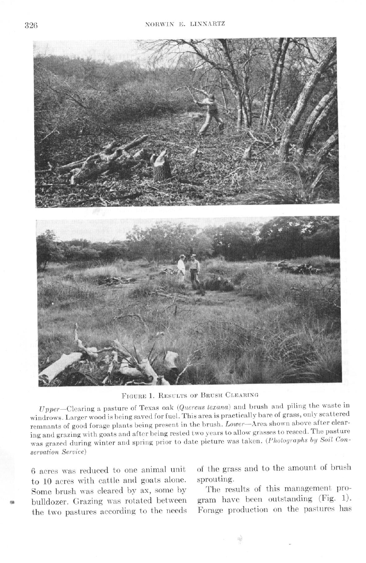

FIGURE 1. RESULTS OF BRUSH CLEARING

 $Upper$ —Clearing a pasture of Texas oak (*Quercus texana*) and brush and piling the waste in o pper-Clearing a passure of 1 calls out (webcome collection) partically bare of grass, only scattered windrows. Larger wood is being saved for fuel. This area is practically bare of grass, only scattered remnants of good forage plants being present in the brush. Lower—Area shown above after clearing and grazing with goats and after being rested two years to allow grasses to reseed. The pasture mg and grazing with goals and after being reside to b years to differ a cancel grazing by Soil Conservation Service)

6 acres was reduced to one animal unit to 10 acres with cattle and goats alone. Some brush was cleared by ax, some by<br>bulldozer. Grazing was rotated between the two pastures according to the needs of the grass and to the amount of brush sprouting.

The results of this management program hare been outstanding (Fig. 1). Forage production on the pastures has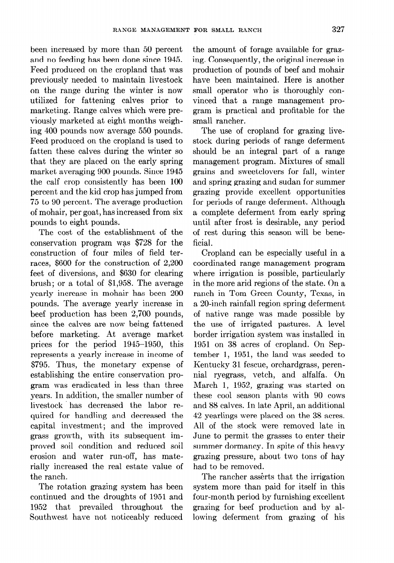been increased by more than 50 percent and no feeding has been done since 1945. Feed produced on the cropland that was previously needed to maintain livestock on the range during the winter is now utilized for fattening calves prior to marketing. Range calves which were previously marketed at eight months weighing 400 pounds now average 550 pounds. Feed produced on the cropland is used to fatten these calves during the winter so that they are placed on the early spring market averaging 900 pounds. Since 1945 the calf crop consistently has been 100 percent and the kid crop has jumped from 75 to 90 percent. The average production of mohair, per goat, has increased from six pounds to eight pounds.

The cost of the establishment of the conservation program was \$728 for the construction of four miles of field terraces, \$600 for the construction of 2,200 feet of diversions, and \$630 for clearing brush; or a total of \$1,958. The average yearly increase in mohair has been 200 pounds. The average yearly increase in beef production has been  $2,700$  pounds, since the calves are now being fattened before marketing. At average market prices for the period 1945-1950, this represents a yearly increase in income of \$795. Thus, the monetary expense of establishing the entire conservation program was eradicated in less than three years. In addition, the smaller number of livestock has decreased the labor required for handling and decreased the capital investment; and the improved grass growth, with its subsequent improved soil condition and reduced soil erosion and water run-off, has materially increased the real estate value of the ranch.

The rotation grazing system has been continued and the droughts of 1951 and 1952 that prevailed throughout the Southwest have not noticeably reduced

the amount of forage available for grazing. Consequently, the original increase in production of pounds of beef and mohair have been maintained. Here is another small operator who is thoroughly convinced that a range management program is practical and profitable for the small rancher.

The use of cropland for grazing livestock during periods of range deferment should be an integral part of a range management program. Mixtures of small grains and sweetclovers for fall, winter and spring grazing and Sudan for summer grazing provide excellent opportunities for periods of range deferment. Although a complete deferment from early spring until after frost is desirable, any period of rest during this season will be beneficial.

Cropland can be especially useful in a coordinated range management program where irrigation is possible, particularly in the more arid regions of the state. On a ranch in Tom Green County, Texas, in a 20-inch rainfall region spring deferment of native range was made possible by the use of irrigated pastures. A level border irrigation system was installed in 1951 on 38 acres of cropland. On September 1, 1951, the land was seeded to Kentucky 31 fescue, orchardgrass, perennial ryegrass, vetch, and alfalfa. On March 1, 1952, grazing was started on these cool season plants with 90 cows and 88 calves. In late April, an additional 42 yearlings were placed on the 38 acres. All of the stock were removed late in June to permit the grasses to enter their summer dormancy. In spite of this heavy grazing pressure, about two tons of hay had to be removed.

The rancher asserts that the irrigation system more than paid for itself in this four-month period by furnishing excellent grazing for beef production and by allowing deferment from grazing of his